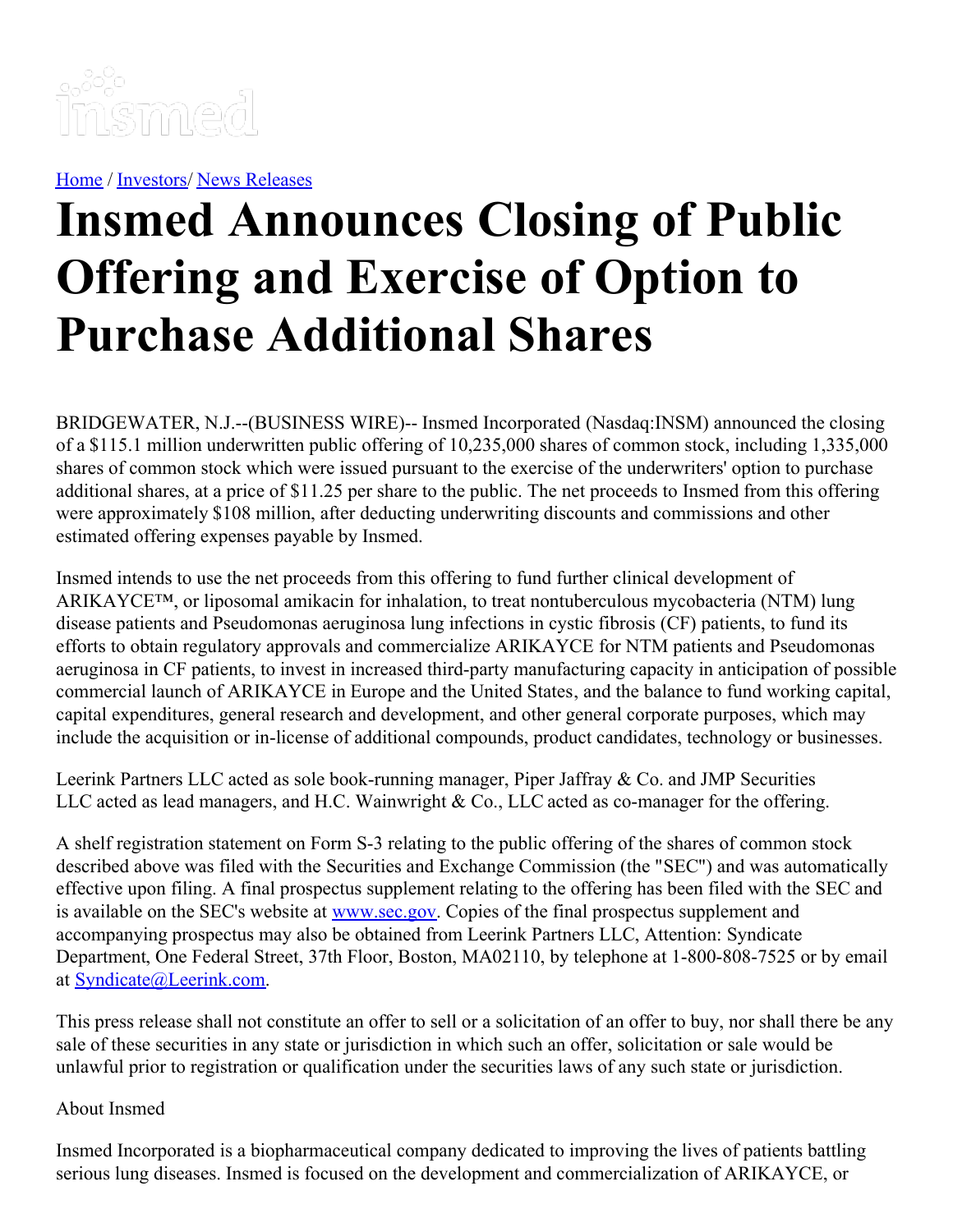

[Home](https://insmed.com/) / [Investors](https://investor.insmed.com/index)/ News [Releases](https://investor.insmed.com/releases)

## **Insmed Announces Closing of Public Offering and Exercise of Option to Purchase Additional Shares**

BRIDGEWATER, N.J.--(BUSINESS WIRE)-- Insmed Incorporated (Nasdaq:INSM) announced the closing of a \$115.1 million underwritten public offering of 10,235,000 shares of common stock, including 1,335,000 shares of common stock which were issued pursuant to the exercise of the underwriters' option to purchase additional shares, at a price of \$11.25 per share to the public. The net proceeds to Insmed from this offering were approximately \$108 million, after deducting underwriting discounts and commissions and other estimated offering expenses payable by Insmed.

Insmed intends to use the net proceeds from this offering to fund further clinical development of ARIKAYCE™, or liposomal amikacin for inhalation, to treat nontuberculous mycobacteria (NTM) lung disease patients and Pseudomonas aeruginosa lung infections in cystic fibrosis (CF) patients, to fund its efforts to obtain regulatory approvals and commercialize ARIKAYCE for NTM patients and Pseudomonas aeruginosa in CF patients, to invest in increased third-party manufacturing capacity in anticipation of possible commercial launch of ARIKAYCE in Europe and the United States, and the balance to fund working capital, capital expenditures, general research and development, and other general corporate purposes, which may include the acquisition or in-license of additional compounds, product candidates, technology or businesses.

Leerink Partners LLC acted as sole book-running manager, Piper Jaffray & Co. and JMP Securities LLC acted as lead managers, and H.C. Wainwright & Co., LLC acted as co-manager for the offering.

A shelf registration statement on Form S-3 relating to the public offering of the shares of common stock described above was filed with the Securities and Exchange Commission (the "SEC") and was automatically effective upon filing. A final prospectus supplement relating to the offering has been filed with the SEC and is available on the SEC's website at [www.sec.gov](http://cts.businesswire.com/ct/CT?id=smartlink&url=http%3A%2F%2Fwww.sec.gov&esheet=50926382&newsitemid=20140818005725&lan=en-US&anchor=www.sec.gov&index=1&md5=a35950445101aecd6acb6979c53b2e35). Copies of the final prospectus supplement and accompanying prospectus may also be obtained from Leerink Partners LLC, Attention: Syndicate Department, One Federal Street, 37th Floor, Boston, MA02110, by telephone at 1-800-808-7525 or by email at [Syndicate@Leerink.com](mailto:Syndicate@Leerink.com).

This press release shall not constitute an offer to sell or a solicitation of an offer to buy, nor shall there be any sale of these securities in any state or jurisdiction in which such an offer, solicitation or sale would be unlawful prior to registration or qualification under the securities laws of any such state or jurisdiction.

## About Insmed

Insmed Incorporated is a biopharmaceutical company dedicated to improving the lives of patients battling serious lung diseases. Insmed is focused on the development and commercialization of ARIKAYCE, or